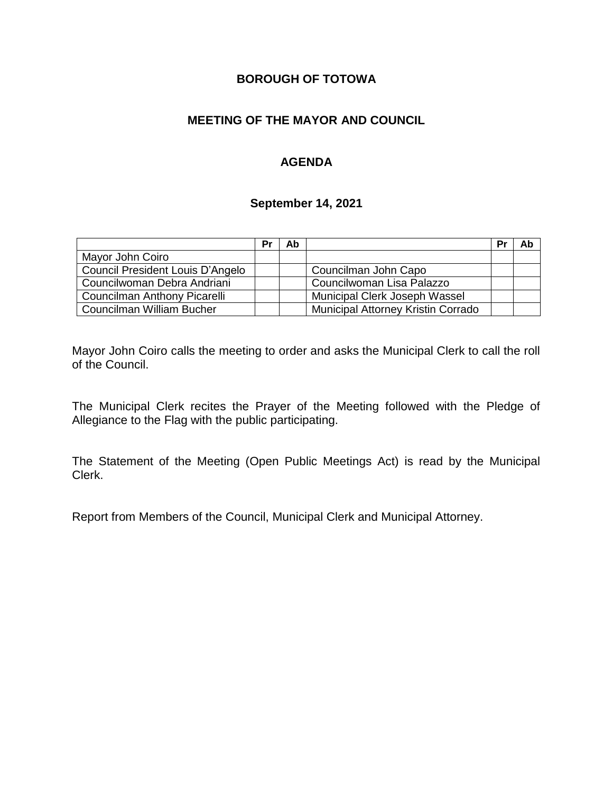# **BOROUGH OF TOTOWA**

# **MEETING OF THE MAYOR AND COUNCIL**

# **AGENDA**

#### **September 14, 2021**

|                                  | Pr | Ab |                                    | Pr | Ab |
|----------------------------------|----|----|------------------------------------|----|----|
| Mayor John Coiro                 |    |    |                                    |    |    |
| Council President Louis D'Angelo |    |    | Councilman John Capo               |    |    |
| Councilwoman Debra Andriani      |    |    | Councilwoman Lisa Palazzo          |    |    |
| Councilman Anthony Picarelli     |    |    | Municipal Clerk Joseph Wassel      |    |    |
| Councilman William Bucher        |    |    | Municipal Attorney Kristin Corrado |    |    |

Mayor John Coiro calls the meeting to order and asks the Municipal Clerk to call the roll of the Council.

The Municipal Clerk recites the Prayer of the Meeting followed with the Pledge of Allegiance to the Flag with the public participating.

The Statement of the Meeting (Open Public Meetings Act) is read by the Municipal Clerk.

Report from Members of the Council, Municipal Clerk and Municipal Attorney.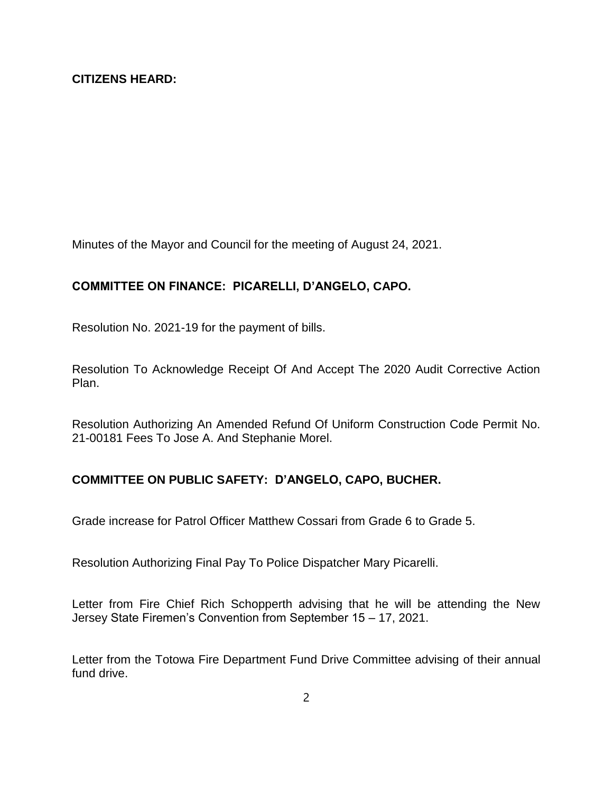Minutes of the Mayor and Council for the meeting of August 24, 2021.

# **COMMITTEE ON FINANCE: PICARELLI, D'ANGELO, CAPO.**

Resolution No. 2021-19 for the payment of bills.

Resolution To Acknowledge Receipt Of And Accept The 2020 Audit Corrective Action Plan.

Resolution Authorizing An Amended Refund Of Uniform Construction Code Permit No. 21-00181 Fees To Jose A. And Stephanie Morel.

### **COMMITTEE ON PUBLIC SAFETY: D'ANGELO, CAPO, BUCHER.**

Grade increase for Patrol Officer Matthew Cossari from Grade 6 to Grade 5.

Resolution Authorizing Final Pay To Police Dispatcher Mary Picarelli.

Letter from Fire Chief Rich Schopperth advising that he will be attending the New Jersey State Firemen's Convention from September 15 – 17, 2021.

Letter from the Totowa Fire Department Fund Drive Committee advising of their annual fund drive.